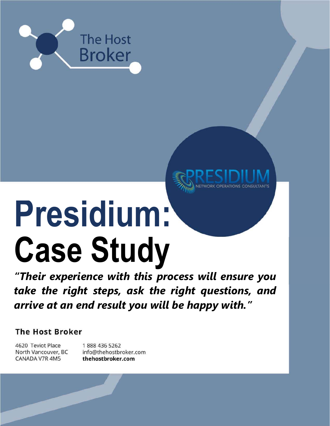

# Presidium: Case Study

"Their experience with this process will ensure you take the right steps, ask the right questions, and arrive at an end result you will be happy with."

**The Host Broker** 

4620 Teviot Place North Vancouver, BC CANADA V7R 4M5

1888 436 5262 info@thehostbroker.com thehostbroker.com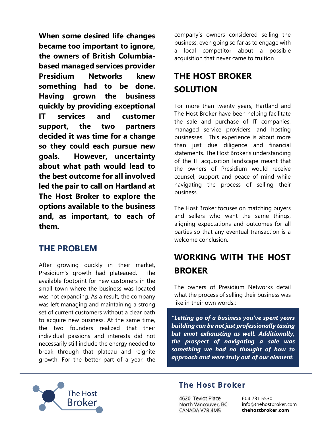When some desired life changes became too important to ignore, the owners of British Columbiabased managed services provider Presidium Networks knew something had to be done. Having grown the business quickly by providing exceptional IT services and customer support, the two partners decided it was time for a change so they could each pursue new goals. However, uncertainty about what path would lead to the best outcome for all involved led the pair to call on Hartland at The Host Broker to explore the options available to the business and, as important, to each of them.

## THE PROBLEM

After growing quickly in their market, Presidium's growth had plateaued. The available footprint for new customers in the small town where the business was located was not expanding. As a result, the company was left managing and maintaining a strong set of current customers without a clear path to acquire new business. At the same time, the two founders realized that their individual passions and interests did not necessarily still include the energy needed to break through that plateau and reignite growth. For the better part of a year, the

company's owners considered selling the business, even going so far as to engage with a local competitor about a possible acquisition that never came to fruition.

## THE HOST BROKER SOLUTION

For more than twenty years, Hartland and The Host Broker have been helping facilitate the sale and purchase of IT companies, managed service providers, and hosting businesses. This experience is about more than just due diligence and financial statements. The Host Broker's understanding of the IT acquisition landscape meant that the owners of Presidium would receive counsel, support and peace of mind while navigating the process of selling their business.

The Host Broker focuses on matching buyers and sellers who want the same things, aligning expectations and outcomes for all parties so that any eventual transaction is a welcome conclusion.

## WORKING WITH THE HOST BROKER

The owners of Presidium Networks detail what the process of selling their business was like in their own words.:

"Letting go of a business you've spent years building can be not just professionally taxing but emot exhausting as well. Additionally, the prospect of navigating a sale was something we had no thought of how to approach and were truly out of our element.



#### **The Host Broker**

4620 Teviot Place North Vancouver, BC CANADA V7R 4M5

604 731 5530 info@thehostbroker.com thehostbroker.com